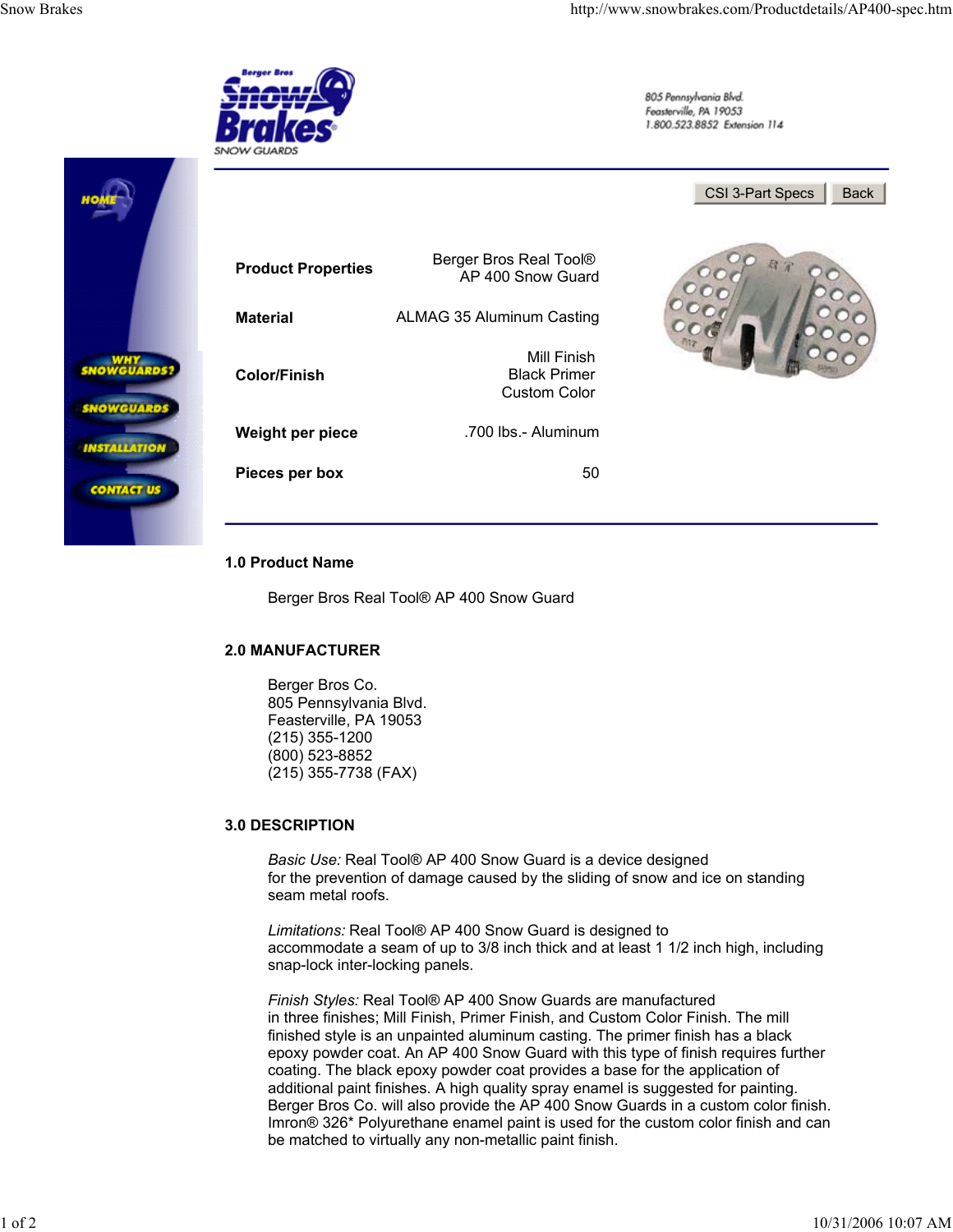## **3.0 DESCRIPTION**

*Basic Use:* Real Tool® AP 400 Snow Guard is a device designed for the prevention of damage caused by the sliding of snow and ice on standing seam metal roofs.

*Limitations:* Real Tool® AP 400 Snow Guard is designed to accommodate a seam of up to 3/8 inch thick and at least 1 1/2 inch high, including snap-lock inter-locking panels.

*Finish Styles:* Real Tool® AP 400 Snow Guards are manufactured in three finishes; Mill Finish, Primer Finish, and Custom Color Finish. The mill finished style is an unpainted aluminum casting. The primer finish has a black epoxy powder coat. An AP 400 Snow Guard with this type of finish requires further coating. The black epoxy powder coat provides a base for the application of additional paint finishes. A high quality spray enamel is suggested for painting. Berger Bros Co. will also provide the AP 400 Snow Guards in a custom color finish. Imron® 326\* Polyurethane enamel paint is used for the custom color finish and can be matched to virtually any non-metallic paint finish.